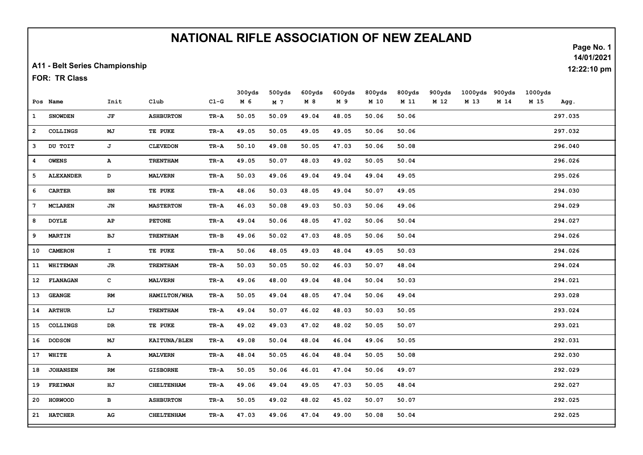## NATIONAL RIFLE ASSOCIATION OF NEW ZEALAND

A11 - Belt Series Championship

FOR: TR Class

|              |                  |               |                     |        | 300yds | 500yds | 600yds | 600yds | 800yds | 800yds | 900yds | 1000yds | 900yds | 1000yds |         |
|--------------|------------------|---------------|---------------------|--------|--------|--------|--------|--------|--------|--------|--------|---------|--------|---------|---------|
|              | Pos Name         | Init          | Club                | $CL-G$ | M 6    | M 7    | M8     | M 9    | M 10   | M 11   | M 12   | M 13    | M 14   | M 15    | Agg.    |
| $\mathbf{1}$ | <b>SNOWDEN</b>   | $J\mathbf{F}$ | <b>ASHBURTON</b>    | TR-A   | 50.05  | 50.09  | 49.04  | 48.05  | 50.06  | 50.06  |        |         |        |         | 297.035 |
| $\mathbf{2}$ | <b>COLLINGS</b>  | MJ            | TE PUKE             | TR-A   | 49.05  | 50.05  | 49.05  | 49.05  | 50.06  | 50.06  |        |         |        |         | 297.032 |
| з            | DU TOIT          | J             | <b>CLEVEDON</b>     | TR-A   | 50.10  | 49.08  | 50.05  | 47.03  | 50.06  | 50.08  |        |         |        |         | 296.040 |
| 4            | <b>OWENS</b>     | $\mathbf{A}$  | <b>TRENTHAM</b>     | TR-A   | 49.05  | 50.07  | 48.03  | 49.02  | 50.05  | 50.04  |        |         |        |         | 296.026 |
| 5            | <b>ALEXANDER</b> | D             | <b>MALVERN</b>      | TR-A   | 50.03  | 49.06  | 49.04  | 49.04  | 49.04  | 49.05  |        |         |        |         | 295.026 |
| 6            | <b>CARTER</b>    | BN            | TE PUKE             | TR-A   | 48.06  | 50.03  | 48.05  | 49.04  | 50.07  | 49.05  |        |         |        |         | 294.030 |
| 7            | <b>MCLAREN</b>   | JN            | <b>MASTERTON</b>    | TR-A   | 46.03  | 50.08  | 49.03  | 50.03  | 50.06  | 49.06  |        |         |        |         | 294.029 |
| 8            | <b>DOYLE</b>     | AP            | <b>PETONE</b>       | TR-A   | 49.04  | 50.06  | 48.05  | 47.02  | 50.06  | 50.04  |        |         |        |         | 294.027 |
| 9            | <b>MARTIN</b>    | BJ            | <b>TRENTHAM</b>     | $TR-B$ | 49.06  | 50.02  | 47.03  | 48.05  | 50.06  | 50.04  |        |         |        |         | 294.026 |
| 10           | <b>CAMERON</b>   | $\mathbf{T}$  | TE PUKE             | TR-A   | 50.06  | 48.05  | 49.03  | 48.04  | 49.05  | 50.03  |        |         |        |         | 294.026 |
| 11           | <b>WHITEMAN</b>  | JR            | <b>TRENTHAM</b>     | TR-A   | 50.03  | 50.05  | 50.02  | 46.03  | 50.07  | 48.04  |        |         |        |         | 294.024 |
|              | 12 FLANAGAN      | $\mathbf C$   | <b>MALVERN</b>      | TR-A   | 49.06  | 48.00  | 49.04  | 48.04  | 50.04  | 50.03  |        |         |        |         | 294.021 |
| 13           | <b>GEANGE</b>    | $\mathbf{RM}$ | HAMILTON/WHA        | TR-A   | 50.05  | 49.04  | 48.05  | 47.04  | 50.06  | 49.04  |        |         |        |         | 293.028 |
| 14           | <b>ARTHUR</b>    | LJ            | <b>TRENTHAM</b>     | TR-A   | 49.04  | 50.07  | 46.02  | 48.03  | 50.03  | 50.05  |        |         |        |         | 293.024 |
| 15           | <b>COLLINGS</b>  | DR            | TE PUKE             | TR-A   | 49.02  | 49.03  | 47.02  | 48.02  | 50.05  | 50.07  |        |         |        |         | 293.021 |
| 16           | <b>DODSON</b>    | MJ            | <b>KAITUNA/BLEN</b> | TR-A   | 49.08  | 50.04  | 48.04  | 46.04  | 49.06  | 50.05  |        |         |        |         | 292.031 |
| 17           | WHITE            | $\mathbf{A}$  | <b>MALVERN</b>      | TR-A   | 48.04  | 50.05  | 46.04  | 48.04  | 50.05  | 50.08  |        |         |        |         | 292.030 |
| 18           | <b>JOHANSEN</b>  | RM            | <b>GISBORNE</b>     | TR-A   | 50.05  | 50.06  | 46.01  | 47.04  | 50.06  | 49.07  |        |         |        |         | 292.029 |
|              | 19 FREIMAN       | HJ            | <b>CHELTENHAM</b>   | TR-A   | 49.06  | 49.04  | 49.05  | 47.03  | 50.05  | 48.04  |        |         |        |         | 292.027 |
| 20           | <b>HORWOOD</b>   | в             | <b>ASHBURTON</b>    | TR-A   | 50.05  | 49.02  | 48.02  | 45.02  | 50.07  | 50.07  |        |         |        |         | 292.025 |
| 21           | <b>HATCHER</b>   | AG            | <b>CHELTENHAM</b>   | TR-A   | 47.03  | 49.06  | 47.04  | 49.00  | 50.08  | 50.04  |        |         |        |         | 292.025 |

Page No. 1 14/01/2021

12:22:10 pm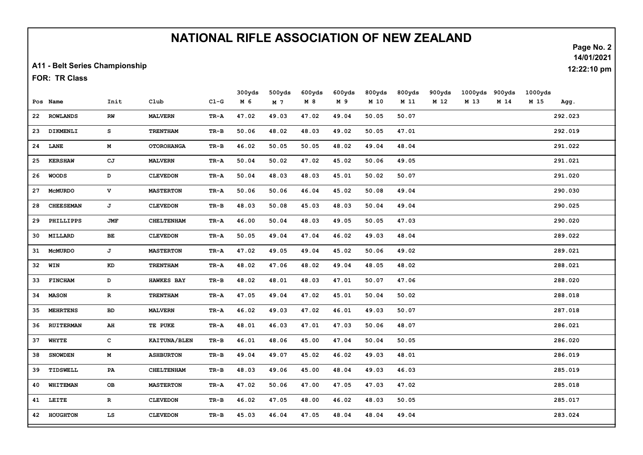## NATIONAL RIFLE ASSOCIATION OF NEW ZEALAND

A11 - Belt Series Championship

FOR: TR Class

|    |                  |              |                   |          | 300yds | 500yds         | 600yds | 600yds | 800yds | 800yds | 900yds | 1000yds | 900yds | 1000yds |         |
|----|------------------|--------------|-------------------|----------|--------|----------------|--------|--------|--------|--------|--------|---------|--------|---------|---------|
|    | Pos Name         | Init         | Club              | $CL-G$   | M 6    | M <sub>7</sub> | M 8    | M 9    | M 10   | M 11   | M 12   | M 13    | M 14   | M 15    | Agg.    |
|    | 22 ROWLANDS      | RW           | <b>MALVERN</b>    | TR-A     | 47.02  | 49.03          | 47.02  | 49.04  | 50.05  | 50.07  |        |         |        |         | 292.023 |
| 23 | DIKMENLI         | s            | <b>TRENTHAM</b>   | $TR - B$ | 50.06  | 48.02          | 48.03  | 49.02  | 50.05  | 47.01  |        |         |        |         | 292.019 |
| 24 | LANE             | M            | <b>OTOROHANGA</b> | TR-B     | 46.02  | 50.05          | 50.05  | 48.02  | 49.04  | 48.04  |        |         |        |         | 291.022 |
| 25 | <b>KERSHAW</b>   | СJ           | <b>MALVERN</b>    | TR-A     | 50.04  | 50.02          | 47.02  | 45.02  | 50.06  | 49.05  |        |         |        |         | 291.021 |
| 26 | <b>WOODS</b>     | D            | <b>CLEVEDON</b>   | TR-A     | 50.04  | 48.03          | 48.03  | 45.01  | 50.02  | 50.07  |        |         |        |         | 291.020 |
| 27 | <b>MCMURDO</b>   | $\mathbf v$  | <b>MASTERTON</b>  | TR-A     | 50.06  | 50.06          | 46.04  | 45.02  | 50.08  | 49.04  |        |         |        |         | 290.030 |
| 28 | <b>CHEESEMAN</b> | J            | <b>CLEVEDON</b>   | $TR-B$   | 48.03  | 50.08          | 45.03  | 48.03  | 50.04  | 49.04  |        |         |        |         | 290.025 |
| 29 | PHILLIPPS        | <b>JMF</b>   | CHELTENHAM        | TR-A     | 46.00  | 50.04          | 48.03  | 49.05  | 50.05  | 47.03  |        |         |        |         | 290.020 |
| 30 | MILLARD          | BE           | <b>CLEVEDON</b>   | TR-A     | 50.05  | 49.04          | 47.04  | 46.02  | 49.03  | 48.04  |        |         |        |         | 289.022 |
| 31 | <b>MCMURDO</b>   | J            | <b>MASTERTON</b>  | TR-A     | 47.02  | 49.05          | 49.04  | 45.02  | 50.06  | 49.02  |        |         |        |         | 289.021 |
|    | 32 WIN           | KD           | <b>TRENTHAM</b>   | TR-A     | 48.02  | 47.06          | 48.02  | 49.04  | 48.05  | 48.02  |        |         |        |         | 288.021 |
| 33 | <b>FINCHAM</b>   | D            | <b>HAWKES BAY</b> | TR-B     | 48.02  | 48.01          | 48.03  | 47.01  | 50.07  | 47.06  |        |         |        |         | 288.020 |
| 34 | <b>MASON</b>     | $\mathbf R$  | <b>TRENTHAM</b>   | TR-A     | 47.05  | 49.04          | 47.02  | 45.01  | 50.04  | 50.02  |        |         |        |         | 288.018 |
| 35 | <b>MEHRTENS</b>  | BD           | <b>MALVERN</b>    | TR-A     | 46.02  | 49.03          | 47.02  | 46.01  | 49.03  | 50.07  |        |         |        |         | 287.018 |
| 36 | <b>RUITERMAN</b> | AH           | TE PUKE           | TR-A     | 48.01  | 46.03          | 47.01  | 47.03  | 50.06  | 48.07  |        |         |        |         | 286.021 |
| 37 | <b>WHYTE</b>     | $\mathbf{C}$ | KAITUNA/BLEN      | $TR-B$   | 46.01  | 48.06          | 45.00  | 47.04  | 50.04  | 50.05  |        |         |        |         | 286.020 |
| 38 | <b>SNOWDEN</b>   | $\mathbf M$  | <b>ASHBURTON</b>  | $TR - B$ | 49.04  | 49.07          | 45.02  | 46.02  | 49.03  | 48.01  |        |         |        |         | 286.019 |
| 39 | TIDSWELL         | PA           | <b>CHELTENHAM</b> | $TR-B$   | 48.03  | 49.06          | 45.00  | 48.04  | 49.03  | 46.03  |        |         |        |         | 285.019 |
| 40 | WHITEMAN         | OВ           | <b>MASTERTON</b>  | TR-A     | 47.02  | 50.06          | 47.00  | 47.05  | 47.03  | 47.02  |        |         |        |         | 285.018 |
| 41 | LEITE            | $\mathbf R$  | <b>CLEVEDON</b>   | $TR - B$ | 46.02  | 47.05          | 48.00  | 46.02  | 48.03  | 50.05  |        |         |        |         | 285.017 |
| 42 | <b>HOUGHTON</b>  | LS           | <b>CLEVEDON</b>   | TR-B     | 45.03  | 46.04          | 47.05  | 48.04  | 48.04  | 49.04  |        |         |        |         | 283.024 |

Page No. 2 14/01/2021

12:22:10 pm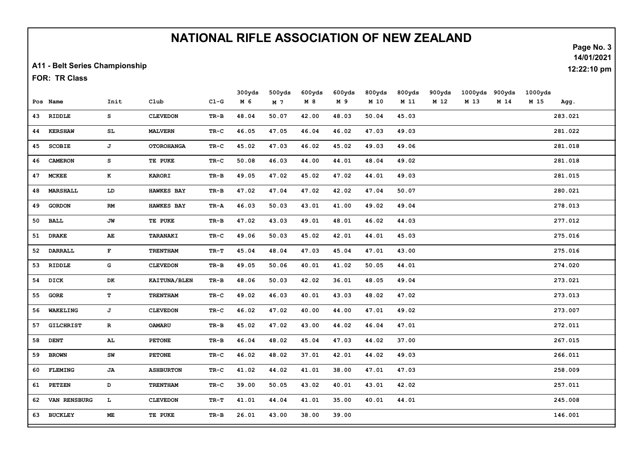## NATIONAL RIFLE ASSOCIATION OF NEW ZEALAND

A11 - Belt Series Championship

FOR: TR Class

|    |                  |              |                     |          | 300yds | 500yds | 600yds | 600yds | 800yds | 800yds | 900yds | 1000yds | 900yds | 1000yds |         |
|----|------------------|--------------|---------------------|----------|--------|--------|--------|--------|--------|--------|--------|---------|--------|---------|---------|
|    | Pos Name         | Init         | Club                | $C1-G$   | M 6    | M 7    | M 8    | M 9    | M 10   | M 11   | M 12   | M 13    | M 14   | M 15    | Agg.    |
|    | 43 RIDDLE        | s            | <b>CLEVEDON</b>     | $TR-B$   | 48.04  | 50.07  | 42.00  | 48.03  | 50.04  | 45.03  |        |         |        |         | 283.021 |
| 44 | <b>KERSHAW</b>   | SL           | <b>MALVERN</b>      | $TR-C$   | 46.05  | 47.05  | 46.04  | 46.02  | 47.03  | 49.03  |        |         |        |         | 281.022 |
| 45 | <b>SCOBIE</b>    | J            | <b>OTOROHANGA</b>   | $TR-C$   | 45.02  | 47.03  | 46.02  | 45.02  | 49.03  | 49.06  |        |         |        |         | 281.018 |
| 46 | <b>CAMERON</b>   | s            | TE PUKE             | $TR-C$   | 50.08  | 46.03  | 44.00  | 44.01  | 48.04  | 49.02  |        |         |        |         | 281.018 |
| 47 | <b>MCKEE</b>     | K            | <b>KARORI</b>       | $TR-B$   | 49.05  | 47.02  | 45.02  | 47.02  | 44.01  | 49.03  |        |         |        |         | 281.015 |
| 48 | <b>MARSHALL</b>  | LD           | <b>HAWKES BAY</b>   | $TR - B$ | 47.02  | 47.04  | 47.02  | 42.02  | 47.04  | 50.07  |        |         |        |         | 280.021 |
| 49 | <b>GORDON</b>    | RM           | <b>HAWKES BAY</b>   | TR-A     | 46.03  | 50.03  | 43.01  | 41.00  | 49.02  | 49.04  |        |         |        |         | 278.013 |
| 50 | BALL             | JW           | TE PUKE             | $TR-B$   | 47.02  | 43.03  | 49.01  | 48.01  | 46.02  | 44.03  |        |         |        |         | 277.012 |
| 51 | <b>DRAKE</b>     | AE           | TARANAKI            | $TR-C$   | 49.06  | 50.03  | 45.02  | 42.01  | 44.01  | 45.03  |        |         |        |         | 275.016 |
| 52 | <b>DARRALL</b>   | $\mathbf{F}$ | <b>TRENTHAM</b>     | TR-T     | 45.04  | 48.04  | 47.03  | 45.04  | 47.01  | 43.00  |        |         |        |         | 275.016 |
| 53 | RIDDLE           | G            | <b>CLEVEDON</b>     | $TR - B$ | 49.05  | 50.06  | 40.01  | 41.02  | 50.05  | 44.01  |        |         |        |         | 274.020 |
| 54 | DICK             | DK           | <b>KAITUNA/BLEN</b> | $TR-B$   | 48.06  | 50.03  | 42.02  | 36.01  | 48.05  | 49.04  |        |         |        |         | 273.021 |
| 55 | <b>GORE</b>      | T            | <b>TRENTHAM</b>     | TR-C     | 49.02  | 46.03  | 40.01  | 43.03  | 48.02  | 47.02  |        |         |        |         | 273.013 |
| 56 | WAKELING         | J            | <b>CLEVEDON</b>     | TR-C     | 46.02  | 47.02  | 40.00  | 44.00  | 47.01  | 49.02  |        |         |        |         | 273.007 |
| 57 | <b>GILCHRIST</b> | $\mathbf{R}$ | OAMARU              | $TR-B$   | 45.02  | 47.02  | 43.00  | 44.02  | 46.04  | 47.01  |        |         |        |         | 272.011 |
| 58 | <b>DENT</b>      | AL.          | <b>PETONE</b>       | TR-B     | 46.04  | 48.02  | 45.04  | 47.03  | 44.02  | 37.00  |        |         |        |         | 267.015 |
| 59 | <b>BROWN</b>     | ${\tt SW}$   | <b>PETONE</b>       | $TR-C$   | 46.02  | 48.02  | 37.01  | 42.01  | 44.02  | 49.03  |        |         |        |         | 266.011 |
| 60 | <b>FLEMING</b>   | JA           | <b>ASHBURTON</b>    | $TR-C$   | 41.02  | 44.02  | 41.01  | 38.00  | 47.01  | 47.03  |        |         |        |         | 258.009 |
| 61 | <b>PETZEN</b>    | D            | <b>TRENTHAM</b>     | TR-C     | 39.00  | 50.05  | 43.02  | 40.01  | 43.01  | 42.02  |        |         |        |         | 257.011 |
| 62 | VAN RENSBURG     | $\mathbf{L}$ | <b>CLEVEDON</b>     | $TR-T$   | 41.01  | 44.04  | 41.01  | 35.00  | 40.01  | 44.01  |        |         |        |         | 245.008 |
| 63 | <b>BUCKLEY</b>   | ME           | TE PUKE             | $TR - B$ | 26.01  | 43.00  | 38.00  | 39.00  |        |        |        |         |        |         | 146.001 |

Page No. 3 14/01/2021